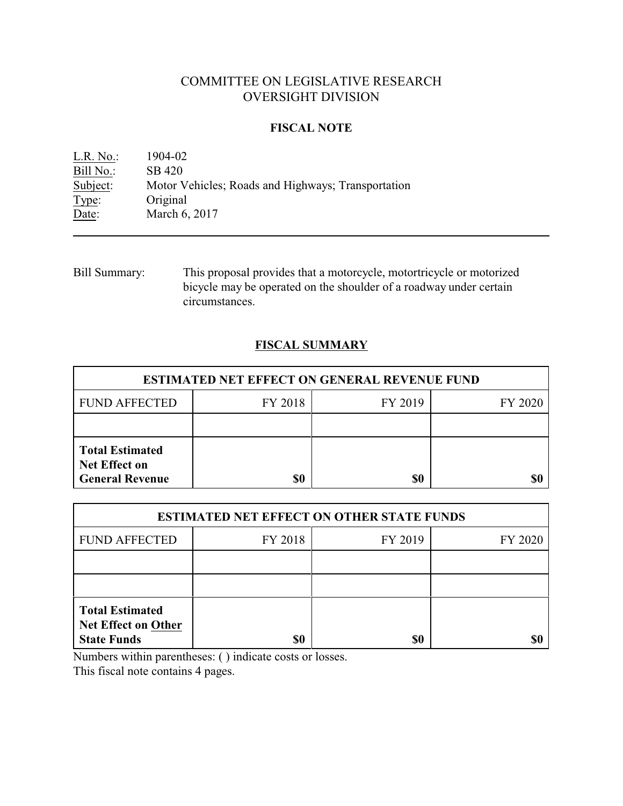# COMMITTEE ON LEGISLATIVE RESEARCH OVERSIGHT DIVISION

### **FISCAL NOTE**

| L.R. No.: | 1904-02                                            |
|-----------|----------------------------------------------------|
| Bill No.: | SB 420                                             |
| Subject:  | Motor Vehicles; Roads and Highways; Transportation |
| Type:     | Original                                           |
| Date:     | March 6, 2017                                      |

Bill Summary: This proposal provides that a motorcycle, motortricycle or motorized bicycle may be operated on the shoulder of a roadway under certain circumstances.

## **FISCAL SUMMARY**

| <b>ESTIMATED NET EFFECT ON GENERAL REVENUE FUND</b>                      |         |         |         |  |
|--------------------------------------------------------------------------|---------|---------|---------|--|
| <b>FUND AFFECTED</b>                                                     | FY 2018 | FY 2019 | FY 2020 |  |
|                                                                          |         |         |         |  |
| <b>Total Estimated</b><br><b>Net Effect on</b><br><b>General Revenue</b> | \$0     | \$0     |         |  |

| <b>ESTIMATED NET EFFECT ON OTHER STATE FUNDS</b>                           |         |         |         |  |
|----------------------------------------------------------------------------|---------|---------|---------|--|
| <b>FUND AFFECTED</b>                                                       | FY 2018 | FY 2019 | FY 2020 |  |
|                                                                            |         |         |         |  |
|                                                                            |         |         |         |  |
| <b>Total Estimated</b><br><b>Net Effect on Other</b><br><b>State Funds</b> | \$0     | \$0     |         |  |

Numbers within parentheses: ( ) indicate costs or losses.

This fiscal note contains 4 pages.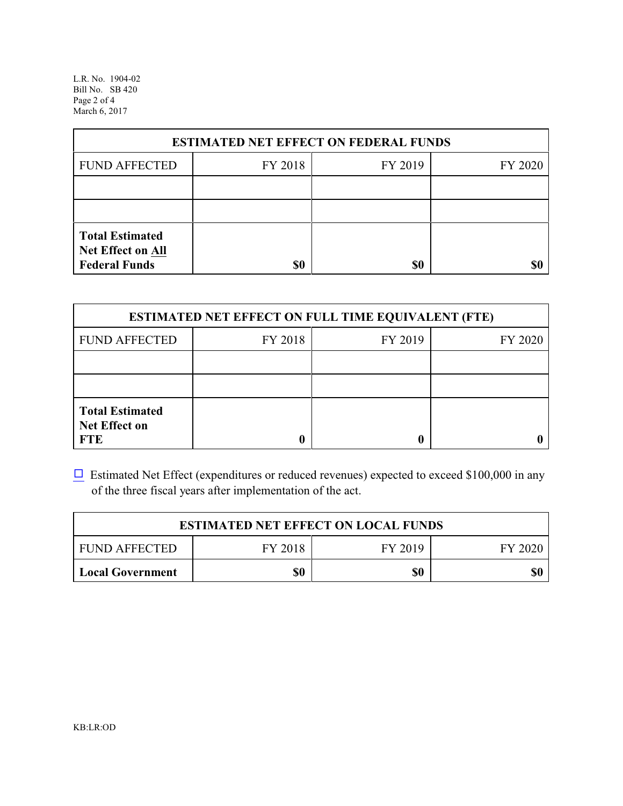L.R. No. 1904-02 Bill No. SB 420 Page 2 of 4 March 6, 2017

| <b>ESTIMATED NET EFFECT ON FEDERAL FUNDS</b>                        |         |         |         |  |
|---------------------------------------------------------------------|---------|---------|---------|--|
| <b>FUND AFFECTED</b>                                                | FY 2018 | FY 2019 | FY 2020 |  |
|                                                                     |         |         |         |  |
|                                                                     |         |         |         |  |
| <b>Total Estimated</b><br>Net Effect on All<br><b>Federal Funds</b> | \$0     | \$0     |         |  |

| <b>ESTIMATED NET EFFECT ON FULL TIME EQUIVALENT (FTE)</b>    |         |         |         |  |
|--------------------------------------------------------------|---------|---------|---------|--|
| <b>FUND AFFECTED</b>                                         | FY 2018 | FY 2019 | FY 2020 |  |
|                                                              |         |         |         |  |
|                                                              |         |         |         |  |
| <b>Total Estimated</b><br><b>Net Effect on</b><br><b>FTE</b> |         |         |         |  |

 $\Box$  Estimated Net Effect (expenditures or reduced revenues) expected to exceed \$100,000 in any of the three fiscal years after implementation of the act.

| <b>ESTIMATED NET EFFECT ON LOCAL FUNDS</b> |         |         |         |  |
|--------------------------------------------|---------|---------|---------|--|
| <b>FUND AFFECTED</b>                       | FY 2018 | FY 2019 | FY 2020 |  |
| Local Government                           | \$0     | \$0     | \$0     |  |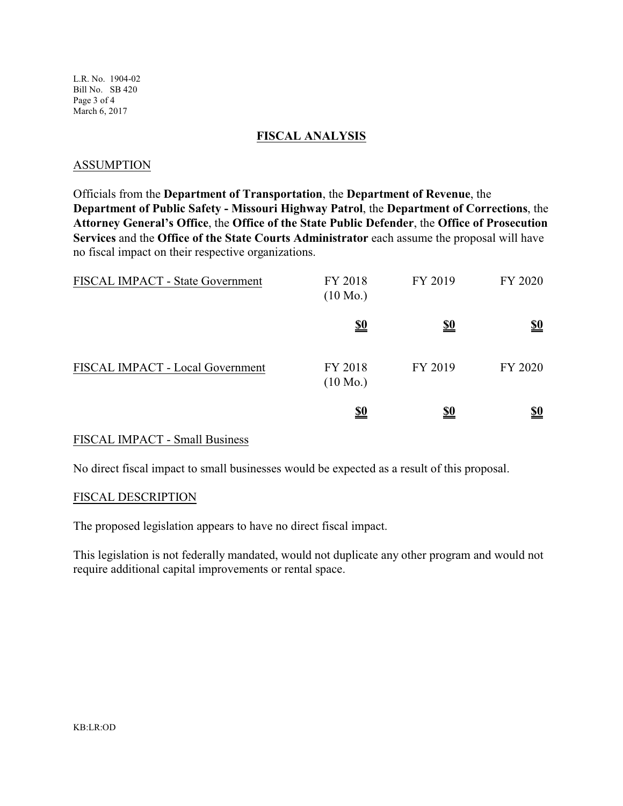L.R. No. 1904-02 Bill No. SB 420 Page 3 of 4 March 6, 2017

#### **FISCAL ANALYSIS**

#### ASSUMPTION

Officials from the **Department of Transportation**, the **Department of Revenue**, the **Department of Public Safety - Missouri Highway Patrol**, the **Department of Corrections**, the **Attorney General's Office**, the **Office of the State Public Defender**, the **Office of Prosecution Services** and the **Office of the State Courts Administrator** each assume the proposal will have no fiscal impact on their respective organizations.

| <b>FISCAL IMPACT - State Government</b> | FY 2018<br>$(10 \text{ Mo.})$ | FY 2019    | FY 2020    |
|-----------------------------------------|-------------------------------|------------|------------|
|                                         | <u>\$0</u>                    | <u>\$0</u> | <u>\$0</u> |
| FISCAL IMPACT - Local Government        | FY 2018<br>$(10 \text{ Mo.})$ | FY 2019    | FY 2020    |
|                                         | <u>\$0</u>                    | <u>\$0</u> | <u>so</u>  |

### FISCAL IMPACT - Small Business

No direct fiscal impact to small businesses would be expected as a result of this proposal.

#### FISCAL DESCRIPTION

The proposed legislation appears to have no direct fiscal impact.

This legislation is not federally mandated, would not duplicate any other program and would not require additional capital improvements or rental space.